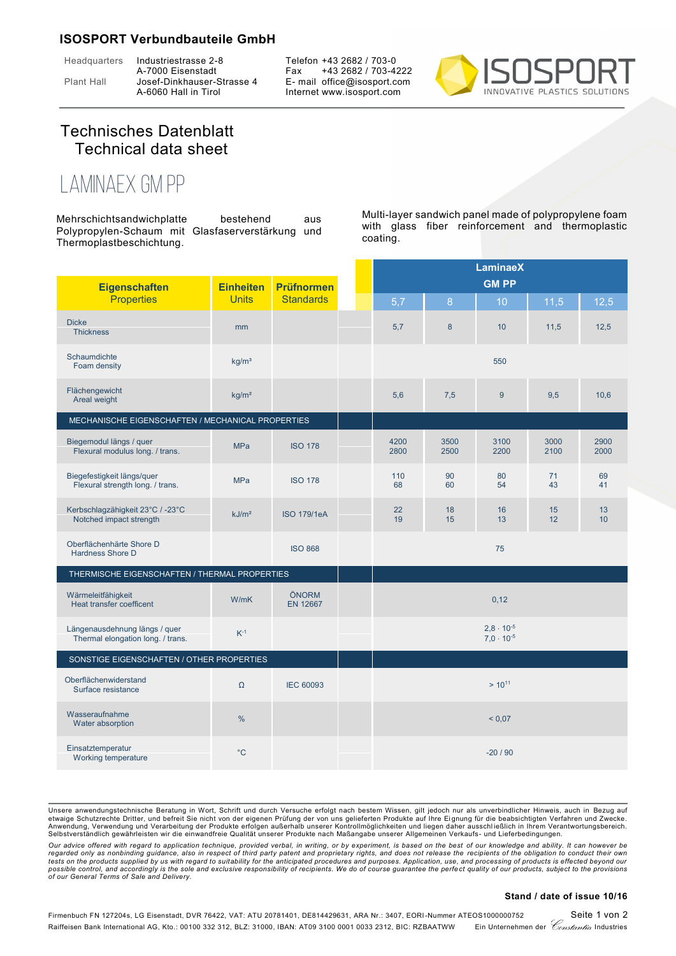## **ISOSPORT Verbundbauteile GmbH**

Headquarters Industriestrasse 2-8

A-7000 Eisenstadt Plant Hall Josef-Dinkhauser-Strasse 4 A-6060 Hall in Tirol

Telefon +43 2682 / 703-0 Fax +43 2682 / 703-4222 E- mail office@isosport.com Internet www.isosport.com



## Technisches Datenblatt Technical data sheet

## **LaminaeX GM PP**

Mehrschichtsandwichplatte bestehend aus Polypropylen-Schaum mit Glasfaserverstärkung und Thermoplastbeschichtung.

Multi-layer sandwich panel made of polypropylene foam with glass fiber reinforcement and thermoplastic coating.

|                                                                    |                   |                          |              | <b>LaminaeX</b> |                                            |              |              |
|--------------------------------------------------------------------|-------------------|--------------------------|--------------|-----------------|--------------------------------------------|--------------|--------------|
| <b>Eigenschaften</b>                                               | <b>Einheiten</b>  | <b>Prüfnormen</b>        |              | <b>GM PP</b>    |                                            |              |              |
| <b>Properties</b>                                                  | <b>Units</b>      | <b>Standards</b>         | 5,7          | 8               | 10                                         | 11,5         | 12,5         |
| <b>Dicke</b><br><b>Thickness</b>                                   | mm                |                          | 5,7          | $\bf 8$         | 10                                         | 11,5         | 12,5         |
| Schaumdichte<br>Foam density                                       | kg/m <sup>3</sup> |                          |              |                 | 550                                        |              |              |
| Flächengewicht<br>Areal weight                                     | kg/m <sup>2</sup> |                          | 5,6          | 7,5             | 9                                          | 9,5          | 10,6         |
| MECHANISCHE EIGENSCHAFTEN / MECHANICAL PROPERTIES                  |                   |                          |              |                 |                                            |              |              |
| Biegemodul längs / quer<br>Flexural modulus long. / trans.         | <b>MPa</b>        | <b>ISO 178</b>           | 4200<br>2800 | 3500<br>2500    | 3100<br>2200                               | 3000<br>2100 | 2900<br>2000 |
| Biegefestigkeit längs/quer<br>Flexural strength long. / trans.     | <b>MPa</b>        | <b>ISO 178</b>           | 110<br>68    | 90<br>60        | 80<br>54                                   | 71<br>43     | 69<br>41     |
| Kerbschlagzähigkeit 23°C / -23°C<br>Notched impact strength        | kJ/m <sup>2</sup> | <b>ISO 179/1eA</b>       | 22<br>19     | 18<br>15        | 16<br>13                                   | 15<br>12     | 13<br>10     |
| Oberflächenhärte Shore D<br>Hardness Shore D                       |                   | <b>ISO 868</b>           |              |                 | 75                                         |              |              |
| THERMISCHE EIGENSCHAFTEN / THERMAL PROPERTIES                      |                   |                          |              |                 |                                            |              |              |
| Wärmeleitfähigkeit<br>Heat transfer coefficent                     | W/mK              | ÖNORM<br><b>EN 12667</b> |              |                 | 0,12                                       |              |              |
| Längenausdehnung längs / quer<br>Thermal elongation long. / trans. | $K^{-1}$          |                          |              |                 | $2,8 \cdot 10^{-5}$<br>$7.0 \cdot 10^{-5}$ |              |              |
| SONSTIGE EIGENSCHAFTEN / OTHER PROPERTIES                          |                   |                          |              |                 |                                            |              |              |
| Oberflächenwiderstand<br>Surface resistance                        | Ω                 | <b>IEC 60093</b>         |              |                 | $> 10^{11}$                                |              |              |
| Wasseraufnahme<br>Water absorption                                 | $\%$              |                          | ${}_{0.07}$  |                 |                                            |              |              |
| Einsatztemperatur<br>Working temperature                           | $^{\circ}C$       |                          |              |                 | $-20/90$                                   |              |              |

Unsere anwendungstechnische Beratung in Wort, Schrift und durch Versuche erfolgt nach bestem Wissen, gilt jedoch nur als unverbindlicher Hinweis, auch in Bezug auf<br>etwaige Schutzrechte Dritter, und befreit Sie nicht von de Anwendung, Verwendung und Verarbeitung der Produkte erfolgen außerhalb unserer Kontrollmöglichkeiten und liegen daher ausschließlich in Ihrem Verantwortungsbereich.<br>Selbstverständlich gewährleisten wir die einwandfreie Qua

Our advice offered with regard to application technique, provided verbal, in writing, or by experiment, is based on the best of our knowledge and ability. It can however be<br>regarded only as nonbinding guidance, also in res possible control, and accordingly is the sole and exclusive responsibility of recipients. We do of course guarantee the perfect quality of our products, subject to the provisions<br>of our General Terms of Sale and Delivery.

## **Stand / date of issue 10/16**